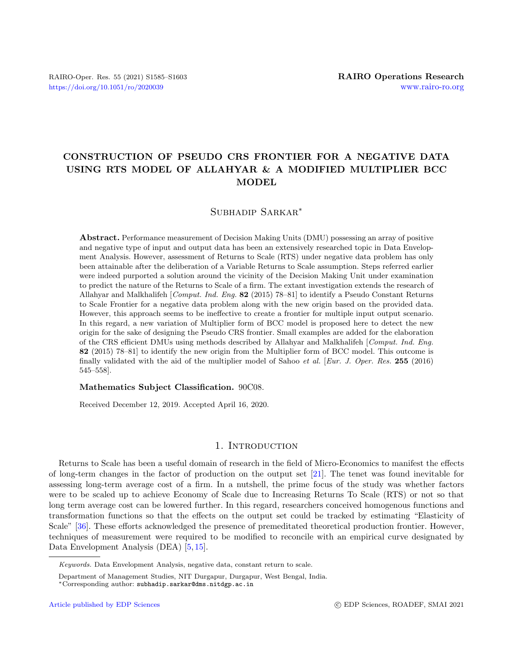# CONSTRUCTION OF PSEUDO CRS FRONTIER FOR A NEGATIVE DATA USING RTS MODEL OF ALLAHYAR & A MODIFIED MULTIPLIER BCC MODEL

# Subhadip Sarkar<sup>∗</sup>

Abstract. Performance measurement of Decision Making Units (DMU) possessing an array of positive and negative type of input and output data has been an extensively researched topic in Data Envelopment Analysis. However, assessment of Returns to Scale (RTS) under negative data problem has only been attainable after the deliberation of a Variable Returns to Scale assumption. Steps referred earlier were indeed purported a solution around the vicinity of the Decision Making Unit under examination to predict the nature of the Returns to Scale of a firm. The extant investigation extends the research of Allahyar and Malkhalifeh [Comput. Ind. Eng. 82 (2015) 78–81] to identify a Pseudo Constant Returns to Scale Frontier for a negative data problem along with the new origin based on the provided data. However, this approach seems to be ineffective to create a frontier for multiple input output scenario. In this regard, a new variation of Multiplier form of BCC model is proposed here to detect the new origin for the sake of designing the Pseudo CRS frontier. Small examples are added for the elaboration of the CRS efficient DMUs using methods described by Allahyar and Malkhalifeh [Comput. Ind. Eng. 82 (2015) 78–81] to identify the new origin from the Multiplier form of BCC model. This outcome is finally validated with the aid of the multiplier model of Sahoo et al. [Eur. J. Oper. Res. 255 (2016) 545–558].

#### Mathematics Subject Classification. 90C08.

Received December 12, 2019. Accepted April 16, 2020.

# 1. INTRODUCTION

Returns to Scale has been a useful domain of research in the field of Micro-Economics to manifest the effects of long-term changes in the factor of production on the output set [\[21\]](#page-17-0). The tenet was found inevitable for assessing long-term average cost of a firm. In a nutshell, the prime focus of the study was whether factors were to be scaled up to achieve Economy of Scale due to Increasing Returns To Scale (RTS) or not so that long term average cost can be lowered further. In this regard, researchers conceived homogenous functions and transformation functions so that the effects on the output set could be tracked by estimating "Elasticity of Scale" [\[36\]](#page-18-0). These efforts acknowledged the presence of premeditated theoretical production frontier. However, techniques of measurement were required to be modified to reconcile with an empirical curve designated by Data Envelopment Analysis (DEA) [\[5,](#page-17-1) [15\]](#page-17-2).

Keywords. Data Envelopment Analysis, negative data, constant return to scale.

Department of Management Studies, NIT Durgapur, Durgapur, West Bengal, India.

<sup>∗</sup>Corresponding author: [subhadip.sarkar@dms.nitdgp.ac.in](mailto:subhadip.sarkar@dms.nitdgp.ac.in)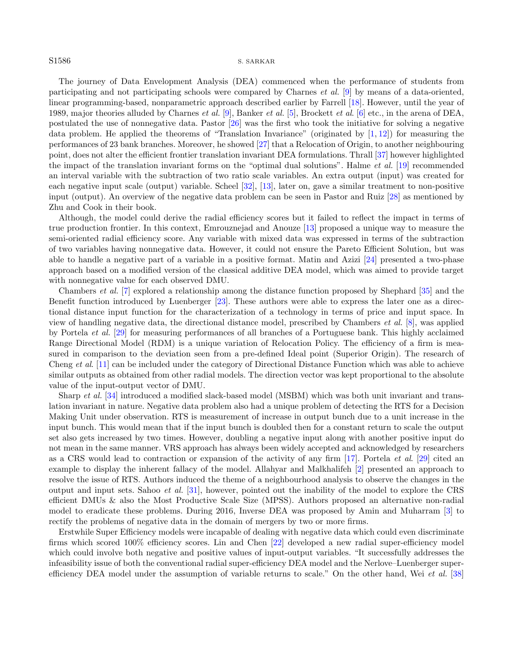#### S1586 S. SARKAR

The journey of Data Envelopment Analysis (DEA) commenced when the performance of students from participating and not participating schools were compared by Charnes et al. [\[9\]](#page-17-3) by means of a data-oriented, linear programming-based, nonparametric approach described earlier by Farrell [\[18\]](#page-17-4). However, until the year of 1989, major theories alluded by Charnes *et al.* [\[9\]](#page-17-3), Banker *et al.* [\[5\]](#page-17-1), Brockett *et al.* [\[6\]](#page-17-5) etc., in the arena of DEA. postulated the use of nonnegative data. Pastor [\[26\]](#page-17-6) was the first who took the initiative for solving a negative data problem. He applied the theorems of "Translation Invariance" (originated by  $[1, 12]$  $[1, 12]$  $[1, 12]$ ) for measuring the performances of 23 bank branches. Moreover, he showed [\[27\]](#page-18-1) that a Relocation of Origin, to another neighbouring point, does not alter the efficient frontier translation invariant DEA formulations. Thrall [\[37\]](#page-18-2) however highlighted the impact of the translation invariant forms on the "optimal dual solutions". Halme et al. [\[19\]](#page-17-9) recommended an interval variable with the subtraction of two ratio scale variables. An extra output (input) was created for each negative input scale (output) variable. Scheel [\[32\]](#page-18-3), [\[13\]](#page-17-10), later on, gave a similar treatment to non-positive input (output). An overview of the negative data problem can be seen in Pastor and Ruiz [\[28\]](#page-18-4) as mentioned by Zhu and Cook in their book.

Although, the model could derive the radial efficiency scores but it failed to reflect the impact in terms of true production frontier. In this context, Emrouznejad and Anouze [\[13\]](#page-17-10) proposed a unique way to measure the semi-oriented radial efficiency score. Any variable with mixed data was expressed in terms of the subtraction of two variables having nonnegative data. However, it could not ensure the Pareto Efficient Solution, but was able to handle a negative part of a variable in a positive format. Matin and Azizi [\[24\]](#page-17-11) presented a two-phase approach based on a modified version of the classical additive DEA model, which was aimed to provide target with nonnegative value for each observed DMU.

Chambers et al. [\[7\]](#page-17-12) explored a relationship among the distance function proposed by Shephard [\[35\]](#page-18-5) and the Benefit function introduced by Luenberger [\[23\]](#page-17-13). These authors were able to express the later one as a directional distance input function for the characterization of a technology in terms of price and input space. In view of handling negative data, the directional distance model, prescribed by Chambers et al. [\[8\]](#page-17-14), was applied by Portela et al. [\[29\]](#page-18-6) for measuring performances of all branches of a Portuguese bank. This highly acclaimed Range Directional Model (RDM) is a unique variation of Relocation Policy. The efficiency of a firm is measured in comparison to the deviation seen from a pre-defined Ideal point (Superior Origin). The research of Cheng et al. [\[11\]](#page-17-15) can be included under the category of Directional Distance Function which was able to achieve similar outputs as obtained from other radial models. The direction vector was kept proportional to the absolute value of the input-output vector of DMU.

Sharp et al. [\[34\]](#page-18-7) introduced a modified slack-based model (MSBM) which was both unit invariant and translation invariant in nature. Negative data problem also had a unique problem of detecting the RTS for a Decision Making Unit under observation. RTS is measurement of increase in output bunch due to a unit increase in the input bunch. This would mean that if the input bunch is doubled then for a constant return to scale the output set also gets increased by two times. However, doubling a negative input along with another positive input do not mean in the same manner. VRS approach has always been widely accepted and acknowledged by researchers as a CRS would lead to contraction or expansion of the activity of any firm [\[17\]](#page-17-16). Portela et al. [\[29\]](#page-18-6) cited an example to display the inherent fallacy of the model. Allahyar and Malkhalifeh [\[2\]](#page-17-17) presented an approach to resolve the issue of RTS. Authors induced the theme of a neighbourhood analysis to observe the changes in the output and input sets. Sahoo et al. [\[31\]](#page-18-8), however, pointed out the inability of the model to explore the CRS efficient DMUs & also the Most Productive Scale Size (MPSS). Authors proposed an alternative non-radial model to eradicate these problems. During 2016, Inverse DEA was proposed by Amin and Muharram [\[3\]](#page-17-18) to rectify the problems of negative data in the domain of mergers by two or more firms.

Erstwhile Super Efficiency models were incapable of dealing with negative data which could even discriminate firms which scored 100% efficiency scores. Lin and Chen [\[22\]](#page-17-19) developed a new radial super-efficiency model which could involve both negative and positive values of input-output variables. "It successfully addresses the infeasibility issue of both the conventional radial super-efficiency DEA model and the Nerlove–Luenberger super-efficiency DEA model under the assumption of variable returns to scale." On the other hand, Wei et al. [\[38\]](#page-18-9)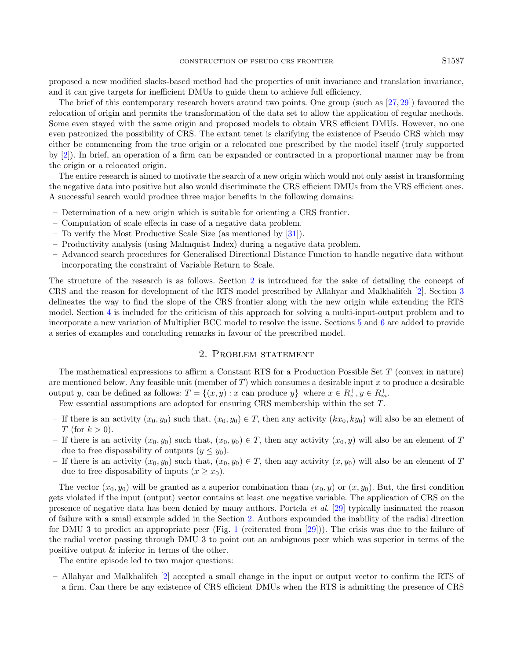proposed a new modified slacks-based method had the properties of unit invariance and translation invariance, and it can give targets for inefficient DMUs to guide them to achieve full efficiency.

The brief of this contemporary research hovers around two points. One group (such as  $[27, 29]$  $[27, 29]$  $[27, 29]$ ) favoured the relocation of origin and permits the transformation of the data set to allow the application of regular methods. Some even stayed with the same origin and proposed models to obtain VRS efficient DMUs. However, no one even patronized the possibility of CRS. The extant tenet is clarifying the existence of Pseudo CRS which may either be commencing from the true origin or a relocated one prescribed by the model itself (truly supported by [\[2\]](#page-17-17)). In brief, an operation of a firm can be expanded or contracted in a proportional manner may be from the origin or a relocated origin.

The entire research is aimed to motivate the search of a new origin which would not only assist in transforming the negative data into positive but also would discriminate the CRS efficient DMUs from the VRS efficient ones. A successful search would produce three major benefits in the following domains:

- Determination of a new origin which is suitable for orienting a CRS frontier.
- Computation of scale effects in case of a negative data problem.
- To verify the Most Productive Scale Size (as mentioned by [\[31\]](#page-18-8)).
- Productivity analysis (using Malmquist Index) during a negative data problem.
- Advanced search procedures for Generalised Directional Distance Function to handle negative data without incorporating the constraint of Variable Return to Scale.

The structure of the research is as follows. Section [2](#page-2-0) is introduced for the sake of detailing the concept of CRS and the reason for development of the RTS model prescribed by Allahyar and Malkhalifeh [\[2\]](#page-17-17). Section [3](#page-3-0) delineates the way to find the slope of the CRS frontier along with the new origin while extending the RTS model. Section [4](#page-7-0) is included for the criticism of this approach for solving a multi-input-output problem and to incorporate a new variation of Multiplier BCC model to resolve the issue. Sections [5](#page-10-0) and [6](#page-17-20) are added to provide a series of examples and concluding remarks in favour of the prescribed model.

# 2. Problem statement

<span id="page-2-0"></span>The mathematical expressions to affirm a Constant RTS for a Production Possible Set T (convex in nature) are mentioned below. Any feasible unit (member of  $T$ ) which consumes a desirable input x to produce a desirable output y, can be defined as follows:  $T = \{(x, y) : x \text{ can produce } y\}$  where  $x \in R_v^+, y \in R_m^+$ .

Few essential assumptions are adopted for ensuring CRS membership within the set T.

- If there is an activity  $(x_0, y_0)$  such that,  $(x_0, y_0) \in T$ , then any activity  $(kx_0, ky_0)$  will also be an element of T (for  $k > 0$ ).
- If there is an activity  $(x_0, y_0)$  such that,  $(x_0, y_0) \in T$ , then any activity  $(x_0, y)$  will also be an element of T due to free disposability of outputs  $(y \leq y_0)$ .
- If there is an activity  $(x_0, y_0)$  such that,  $(x_0, y_0) \in T$ , then any activity  $(x, y_0)$  will also be an element of T due to free disposability of inputs  $(x \ge x_0)$ .

The vector  $(x_0, y_0)$  will be granted as a superior combination than  $(x_0, y)$  or  $(x, y_0)$ . But, the first condition gets violated if the input (output) vector contains at least one negative variable. The application of CRS on the presence of negative data has been denied by many authors. Portela et al. [\[29\]](#page-18-6) typically insinuated the reason of failure with a small example added in the Section [2.](#page-2-0) Authors expounded the inability of the radial direction for DMU 3 to predict an appropriate peer (Fig. [1](#page-3-1) (reiterated from [\[29\]](#page-18-6))). The crisis was due to the failure of the radial vector passing through DMU 3 to point out an ambiguous peer which was superior in terms of the positive output & inferior in terms of the other.

The entire episode led to two major questions:

– Allahyar and Malkhalifeh [\[2\]](#page-17-17) accepted a small change in the input or output vector to confirm the RTS of a firm. Can there be any existence of CRS efficient DMUs when the RTS is admitting the presence of CRS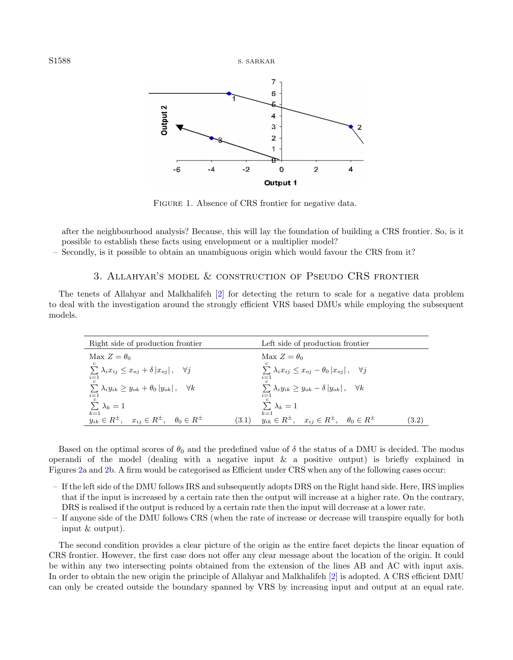S1588 S. SARKAR

<span id="page-3-1"></span>

FIGURE 1. Absence of CRS frontier for negative data.

after the neighbourhood analysis? Because, this will lay the foundation of building a CRS frontier. So, is it possible to establish these facts using envelopment or a multiplier model?

<span id="page-3-0"></span>– Secondly, is it possible to obtain an unambiguous origin which would favour the CRS from it?

# 3. Allahyar's model & construction of Pseudo CRS frontier

The tenets of Allahyar and Malkhalifeh [\[2\]](#page-17-17) for detecting the return to scale for a negative data problem to deal with the investigation around the strongly efficient VRS based DMUs while employing the subsequent models.

<span id="page-3-3"></span><span id="page-3-2"></span>

| Right side of production frontier                                          | Left side of production frontier                                         |
|----------------------------------------------------------------------------|--------------------------------------------------------------------------|
| Max $Z = \theta_0$                                                         | Max $Z = \theta_0$                                                       |
| $\mathbf{c}$                                                               | C.                                                                       |
| $\sum \lambda_i x_{ij} \leq x_{oj} + \delta  x_{oj} , \quad \forall j$     | $\sum \lambda_i x_{ij} \leq x_{oj} - \theta_0  x_{oj} , \quad \forall j$ |
| $i=1$                                                                      | $i=1$                                                                    |
| $\sum \lambda_i y_{ik} \geq y_{ok} + \theta_0  y_{ok} , \quad \forall k$   | $\sum \lambda_i y_{ik} \geq y_{ok} - \delta  y_{ok} , \quad \forall k$   |
| $i=1$                                                                      | $i=1$                                                                    |
| $\mathfrak{c}$<br>$\sum \lambda_k = 1$                                     | $\sum \lambda_k = 1$                                                     |
| $k=1$                                                                      | $k=1$                                                                    |
| $y_{ik} \in R^{\pm}, \quad x_{ij} \in R^{\pm}, \quad \theta_0 \in R^{\pm}$ | $y_{ik} \in R^{\pm}$ , $x_{ij} \in R^{\pm}$ , $\theta_0 \in R^{\pm}$     |
| (3.1)                                                                      | (3.2)                                                                    |

Based on the optimal scores of  $\theta_0$  and the predefined value of  $\delta$  the status of a DMU is decided. The modus operandi of the model (dealing with a negative input  $\&$  a positive output) is briefly explained in Figures [2a](#page-4-0) and [2b](#page-4-0). A firm would be categorised as Efficient under CRS when any of the following cases occur:

- If the left side of the DMU follows IRS and subsequently adopts DRS on the Right hand side. Here, IRS implies that if the input is increased by a certain rate then the output will increase at a higher rate. On the contrary, DRS is realised if the output is reduced by a certain rate then the input will decrease at a lower rate.
- If anyone side of the DMU follows CRS (when the rate of increase or decrease will transpire equally for both input & output).

The second condition provides a clear picture of the origin as the entire facet depicts the linear equation of CRS frontier. However, the first case does not offer any clear message about the location of the origin. It could be within any two intersecting points obtained from the extension of the lines AB and AC with input axis. In order to obtain the new origin the principle of Allahyar and Malkhalifeh [\[2\]](#page-17-17) is adopted. A CRS efficient DMU can only be created outside the boundary spanned by VRS by increasing input and output at an equal rate.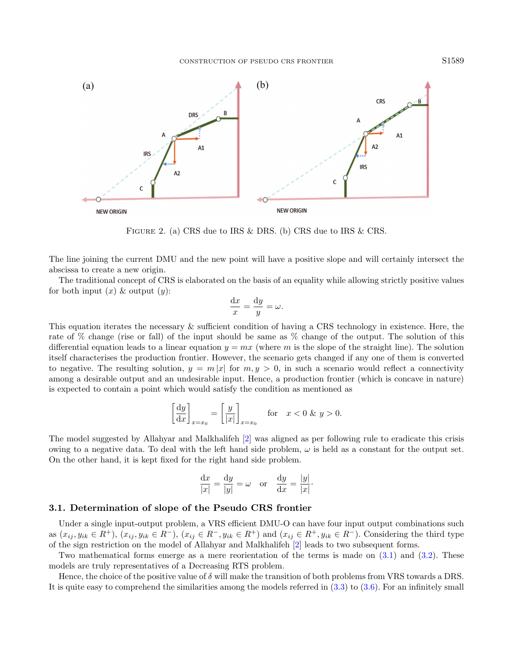<span id="page-4-0"></span>

Figure 2. (a) CRS due to IRS & DRS. (b) CRS due to IRS & CRS.

The line joining the current DMU and the new point will have a positive slope and will certainly intersect the abscissa to create a new origin.

The traditional concept of CRS is elaborated on the basis of an equality while allowing strictly positive values for both input  $(x)$  & output  $(y)$ :

$$
\frac{\mathrm{d}x}{x} = \frac{\mathrm{d}y}{y} = \omega.
$$

This equation iterates the necessary & sufficient condition of having a CRS technology in existence. Here, the rate of % change (rise or fall) of the input should be same as % change of the output. The solution of this differential equation leads to a linear equation  $y = mx$  (where m is the slope of the straight line). The solution itself characterises the production frontier. However, the scenario gets changed if any one of them is converted to negative. The resulting solution,  $y = m|x|$  for  $m, y > 0$ , in such a scenario would reflect a connectivity among a desirable output and an undesirable input. Hence, a production frontier (which is concave in nature) is expected to contain a point which would satisfy the condition as mentioned as

$$
\left[\frac{dy}{dx}\right]_{x=x_0} = \left[\frac{y}{|x|}\right]_{x=x_0} \quad \text{for} \quad x < 0 \text{ \& } y > 0.
$$

The model suggested by Allahyar and Malkhalifeh [\[2\]](#page-17-17) was aligned as per following rule to eradicate this crisis owing to a negative data. To deal with the left hand side problem,  $\omega$  is held as a constant for the output set. On the other hand, it is kept fixed for the right hand side problem.

$$
\frac{\mathrm{d}x}{|x|} = \frac{\mathrm{d}y}{|y|} = \omega \quad \text{or} \quad \frac{\mathrm{d}y}{\mathrm{d}x} = \frac{|y|}{|x|}.
$$

## 3.1. Determination of slope of the Pseudo CRS frontier

Under a single input-output problem, a VRS efficient DMU-O can have four input output combinations such as  $(x_{ij}, y_{ik} \in R^+), (x_{ij}, y_{ik} \in R^-), (x_{ij} \in R^-, y_{ik} \in R^+)$  and  $(x_{ij} \in R^+, y_{ik} \in R^-)$ . Considering the third type of the sign restriction on the model of Allahyar and Malkhalifeh [\[2\]](#page-17-17) leads to two subsequent forms.

Two mathematical forms emerge as a mere reorientation of the terms is made on [\(3.1\)](#page-3-2) and [\(3.2\)](#page-3-3). These models are truly representatives of a Decreasing RTS problem.

Hence, the choice of the positive value of δ will make the transition of both problems from VRS towards a DRS. It is quite easy to comprehend the similarities among the models referred in [\(3.3\)](#page-5-0) to [\(3.6\)](#page-5-1). For an infinitely small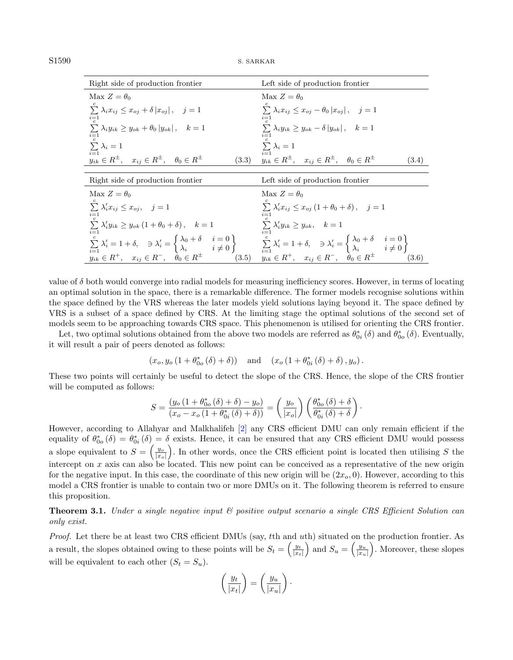<span id="page-5-0"></span>

| Right side of production frontier                                                                                                                                                                                                                                                                                                                                                                                                                       | Left side of production frontier                                                    |
|---------------------------------------------------------------------------------------------------------------------------------------------------------------------------------------------------------------------------------------------------------------------------------------------------------------------------------------------------------------------------------------------------------------------------------------------------------|-------------------------------------------------------------------------------------|
| Max $Z = \theta_0$                                                                                                                                                                                                                                                                                                                                                                                                                                      | Max $Z = \theta_0$                                                                  |
| $\sum_{i=1}^{n} \lambda_i x_{ij} \leq x_{oj} + \delta  x_{oj} , \quad j=1$<br>$i = 1$                                                                                                                                                                                                                                                                                                                                                                   | $\sum_{i} \lambda_i x_{ij} \leq x_{oj} - \theta_0  x_{oj} , \quad j = 1$<br>$i=1$   |
| $\sum \lambda_i y_{ik} \geq y_{ok} + \theta_0  y_{ok} , \quad k=1$<br>$i = 1$                                                                                                                                                                                                                                                                                                                                                                           | $\sum \lambda_i y_{ik} \geq y_{ok} - \delta  y_{ok} $ , $k = 1$                     |
| $\sum \lambda_i = 1$<br>$i=1$                                                                                                                                                                                                                                                                                                                                                                                                                           | $\sum \lambda_i = 1$                                                                |
| $y_{ik} \in R^{\pm}$ , $x_{ij} \in R^{\pm}$ , $\theta_0 \in R^{\pm}$<br>(3.3)                                                                                                                                                                                                                                                                                                                                                                           | $y_{ik} \in R^{\pm}, \quad x_{ij} \in R^{\pm}, \quad \theta_0 \in R^{\pm}$<br>(3.4) |
|                                                                                                                                                                                                                                                                                                                                                                                                                                                         |                                                                                     |
| Right side of production frontier                                                                                                                                                                                                                                                                                                                                                                                                                       | Left side of production frontier                                                    |
| Max $Z = \theta_0$                                                                                                                                                                                                                                                                                                                                                                                                                                      | Max $Z = \theta_0$                                                                  |
| $\sum \lambda'_i x_{ij} \leq x_{oj}, \quad j=1$                                                                                                                                                                                                                                                                                                                                                                                                         | $\sum \lambda'_i x_{ij} \leq x_{oj} (1 + \theta_0 + \delta), \quad j = 1$           |
| $\sum \lambda'_i y_{ik} \geq y_{ok} (1 + \theta_0 + \delta), \quad k = 1$<br>$i=1$                                                                                                                                                                                                                                                                                                                                                                      | $\sum \lambda'_i y_{ik} \geq y_{ok}, \quad k=1$                                     |
| $\sum_{i=1}^{i=1} \lambda'_i = 1 + \delta, \quad \exists \lambda'_i = \begin{cases} \lambda_0 + \delta & i = 0 \\ \lambda_i & i \neq 0 \end{cases}$<br>$y_{ik} \in R^+, \quad x_{ij} \in R^-, \quad \theta_0 \in R^{\pm}$<br>$\begin{cases} \lambda_0 + \delta & i = 0 \\ \lambda_i & i \neq 0 \end{cases}$<br>$y_{ik} \in R^+, \quad x_{ij} \in R^-, \quad \theta_0 \in R^{\pm}$<br>$y_{ik} \in R^+, \quad x_{ij} \in R^-, \quad \theta_0 \in R^{\pm}$ |                                                                                     |
|                                                                                                                                                                                                                                                                                                                                                                                                                                                         | (3.6)                                                                               |

value of  $\delta$  both would converge into radial models for measuring inefficiency scores. However, in terms of locating an optimal solution in the space, there is a remarkable difference. The former models recognise solutions within the space defined by the VRS whereas the later models yield solutions laying beyond it. The space defined by VRS is a subset of a space defined by CRS. At the limiting stage the optimal solutions of the second set of models seem to be approaching towards CRS space. This phenomenon is utilised for orienting the CRS frontier.

Let, two optimal solutions obtained from the above two models are referred as  $\theta_{0i}^*(\delta)$  and  $\theta_{0o}^*(\delta)$ . Eventually, it will result a pair of peers denoted as follows:

<span id="page-5-1"></span>
$$
(x_o, y_o(1 + \theta_{0o}^*(\delta) + \delta))
$$
 and  $(x_o(1 + \theta_{0i}^*(\delta) + \delta), y_o)$ .

These two points will certainly be useful to detect the slope of the CRS. Hence, the slope of the CRS frontier will be computed as follows:

$$
S = \frac{(y_o(1 + \theta_{0o}^*(\delta) + \delta) - y_o)}{(x_o - x_o(1 + \theta_{0i}^*(\delta) + \delta))} = \left(\frac{y_o}{|x_o|}\right) \left(\frac{\theta_{0o}^*(\delta) + \delta}{\theta_{0i}^*(\delta) + \delta}\right).
$$

However, according to Allahyar and Malkhalifeh [\[2\]](#page-17-17) any CRS efficient DMU can only remain efficient if the equality of  $\theta_{0o}^* (\delta) = \theta_{0i}^* (\delta) = \delta$  exists. Hence, it can be ensured that any CRS efficient DMU would possess a slope equivalent to  $S = \left(\frac{y_o}{|x_o|}\right)$ . In other words, once the CRS efficient point is located then utilising S the intercept on x axis can also be located. This new point can be conceived as a representative of the new origin for the negative input. In this case, the coordinate of this new origin will be  $(2x_o, 0)$ . However, according to this model a CRS frontier is unable to contain two or more DMUs on it. The following theorem is referred to ensure this proposition.

**Theorem 3.1.** Under a single negative input  $\mathcal{C}$  positive output scenario a single CRS Efficient Solution can only exist.

Proof. Let there be at least two CRS efficient DMUs (say, tth and uth) situated on the production frontier. As a result, the slopes obtained owing to these points will be  $S_t = \left(\frac{y_t}{|x_t|}\right)$  and  $S_u = \left(\frac{y_u}{|x_u|}\right)$ . Moreover, these slopes will be equivalent to each other  $(S_t = S_u)$ .

$$
\left(\frac{y_t}{|x_t|}\right) = \left(\frac{y_u}{|x_u|}\right).
$$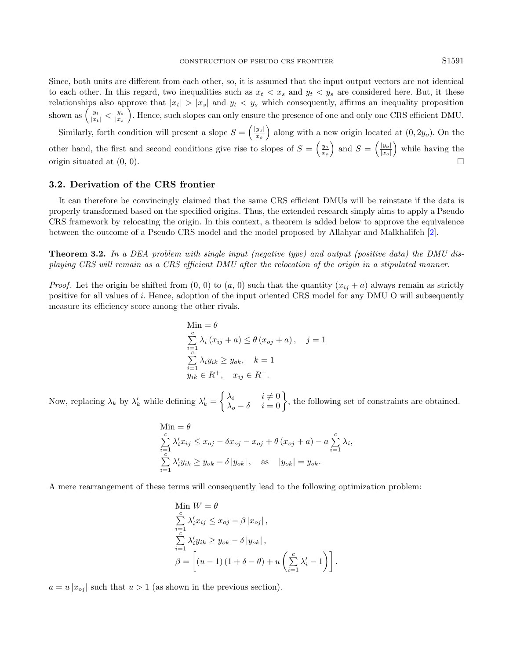Since, both units are different from each other, so, it is assumed that the input output vectors are not identical to each other. In this regard, two inequalities such as  $x_t < x_s$  and  $y_t < y_s$  are considered here. But, it these relationships also approve that  $|x_t| > |x_s|$  and  $y_t < y_s$  which consequently, affirms an inequality proposition shown as  $\left(\frac{y_t}{|x_t|} < \frac{y_s}{|x_s|}\right)$ . Hence, such slopes can only ensure the presence of one and only one CRS efficient DMU.

Similarly, forth condition will present a slope  $S = \left(\frac{|y_o|}{r_o}\right)$  $\left(\frac{y_o}{x_o}\right)$  along with a new origin located at  $(0, 2y_o)$ . On the other hand, the first and second conditions give rise to slopes of  $S = \left(\frac{y_o}{x_o}\right)$  and  $S = \left(\frac{|y_o|}{|x_o|}\right)$  $\frac{|y_o|}{|x_o|}$  while having the origin situated at  $(0, 0)$ .

# 3.2. Derivation of the CRS frontier

It can therefore be convincingly claimed that the same CRS efficient DMUs will be reinstate if the data is properly transformed based on the specified origins. Thus, the extended research simply aims to apply a Pseudo CRS framework by relocating the origin. In this context, a theorem is added below to approve the equivalence between the outcome of a Pseudo CRS model and the model proposed by Allahyar and Malkhalifeh [\[2\]](#page-17-17).

Theorem 3.2. In a DEA problem with single input (negative type) and output (positive data) the DMU displaying CRS will remain as a CRS efficient DMU after the relocation of the origin in a stipulated manner.

*Proof.* Let the origin be shifted from  $(0, 0)$  to  $(a, 0)$  such that the quantity  $(x_{ij} + a)$  always remain as strictly positive for all values of i. Hence, adoption of the input oriented CRS model for any DMU O will subsequently measure its efficiency score among the other rivals.

$$
\begin{aligned}\n\text{Min} &= \theta \\
\sum_{i=1}^{c} \lambda_i \left( x_{ij} + a \right) \le \theta \left( x_{oj} + a \right), \quad j = 1 \\
\sum_{i=1}^{c} \lambda_i y_{ik} &\ge y_{ok}, \quad k = 1 \\
y_{ik} &\in R^+, \quad x_{ij} \in R^-. \n\end{aligned}
$$

Now, replacing  $\lambda_k$  by  $\lambda'_k$  while defining  $\lambda'_k = \begin{cases} \lambda_i & i \neq 0 \\ \lambda_o - \delta & i = 0 \end{cases}$ , the following set of constraints are obtained.

$$
\begin{aligned} \text{Min} &= \theta\\ \sum_{i=1}^{c} \lambda'_i x_{ij} \le x_{oj} - \delta x_{oj} - x_{oj} + \theta \left( x_{oj} + a \right) - a \sum_{i=1}^{c} \lambda_i, \\ \sum_{i=1}^{c} \lambda'_i y_{ik} \ge y_{ok} - \delta \left| y_{ok} \right|, \quad \text{as} \quad |y_{ok}| = y_{ok}. \end{aligned}
$$

A mere rearrangement of these terms will consequently lead to the following optimization problem:

Min 
$$
W = \theta
$$
  
\n
$$
\sum_{i=1}^{c} \lambda'_i x_{ij} \leq x_{oj} - \beta |x_{oj}|,
$$
\n
$$
\sum_{i=1}^{c} \lambda'_i y_{ik} \geq y_{ok} - \delta |y_{ok}|,
$$
\n
$$
\beta = \left[ (u - 1) (1 + \delta - \theta) + u \left( \sum_{i=1}^{c} \lambda'_i - 1 \right) \right].
$$

 $a = u |x_{oj}|$  such that  $u > 1$  (as shown in the previous section).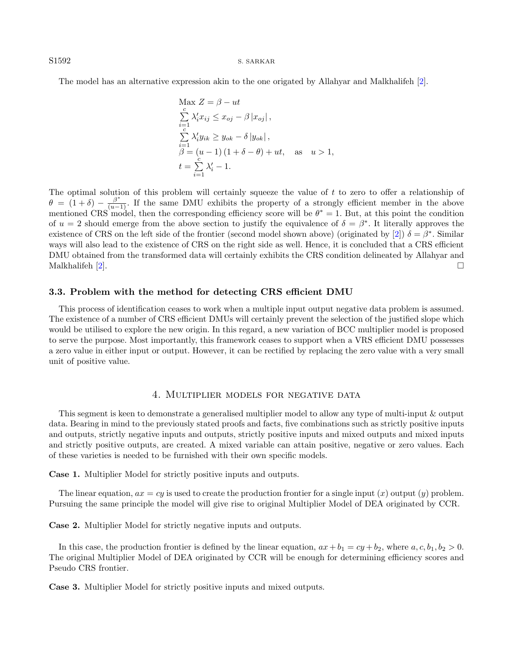S1592 S. SARKAR

The model has an alternative expression akin to the one origated by Allahyar and Malkhalifeh [\[2\]](#page-17-17).

$$
\begin{array}{l}\n\text{Max } Z = \beta - ut \\
\sum_{i=1}^{c} \lambda'_i x_{ij} \leq x_{oj} - \beta |x_{oj}|, \\
\sum_{i=1}^{c} \lambda'_i y_{ik} \geq y_{ok} - \delta |y_{ok}|, \\
\beta = (u - 1) (1 + \delta - \theta) + ut, \quad \text{as} \quad u > 1, \\
t = \sum_{i=1}^{c} \lambda'_i - 1.\n\end{array}
$$

The optimal solution of this problem will certainly squeeze the value of t to zero to offer a relationship of  $\theta = (1 + \delta) - \frac{\beta^*}{(u-1)}$ . If the same DMU exhibits the property of a strongly efficient member in the above mentioned CRS model, then the corresponding efficiency score will be  $\theta^* = 1$ . But, at this point the condition of  $u = 2$  should emerge from the above section to justify the equivalence of  $\delta = \beta^*$ . It literally approves the existence of CRS on the left side of the frontier (second model shown above) (originated by [\[2\]](#page-17-17))  $\delta = \beta^*$ . Similar ways will also lead to the existence of CRS on the right side as well. Hence, it is concluded that a CRS efficient DMU obtained from the transformed data will certainly exhibits the CRS condition delineated by Allahyar and Malkhalifeh [\[2\]](#page-17-17).

#### 3.3. Problem with the method for detecting CRS efficient DMU

This process of identification ceases to work when a multiple input output negative data problem is assumed. The existence of a number of CRS efficient DMUs will certainly prevent the selection of the justified slope which would be utilised to explore the new origin. In this regard, a new variation of BCC multiplier model is proposed to serve the purpose. Most importantly, this framework ceases to support when a VRS efficient DMU possesses a zero value in either input or output. However, it can be rectified by replacing the zero value with a very small unit of positive value.

# 4. Multiplier models for negative data

<span id="page-7-0"></span>This segment is keen to demonstrate a generalised multiplier model to allow any type of multi-input & output data. Bearing in mind to the previously stated proofs and facts, five combinations such as strictly positive inputs and outputs, strictly negative inputs and outputs, strictly positive inputs and mixed outputs and mixed inputs and strictly positive outputs, are created. A mixed variable can attain positive, negative or zero values. Each of these varieties is needed to be furnished with their own specific models.

Case 1. Multiplier Model for strictly positive inputs and outputs.

The linear equation,  $ax = cy$  is used to create the production frontier for a single input  $(x)$  output  $(y)$  problem. Pursuing the same principle the model will give rise to original Multiplier Model of DEA originated by CCR.

Case 2. Multiplier Model for strictly negative inputs and outputs.

In this case, the production frontier is defined by the linear equation,  $ax + b_1 = cy + b_2$ , where  $a, c, b_1, b_2 > 0$ . The original Multiplier Model of DEA originated by CCR will be enough for determining efficiency scores and Pseudo CRS frontier.

Case 3. Multiplier Model for strictly positive inputs and mixed outputs.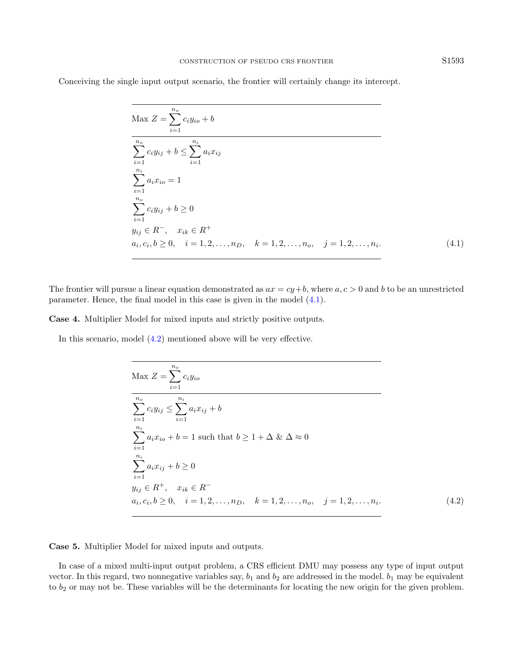Conceiving the single input output scenario, the frontier will certainly change its intercept.

<span id="page-8-0"></span>
$$
\begin{aligned}\n\text{Max } Z &= \sum_{i=1}^{n_o} c_i y_{io} + b \\
\overline{\sum_{i=1}^{n_o} c_i y_{ij} + b} &\leq \sum_{i=1}^{n_i} a_i x_{ij} \\
\sum_{i=1}^{n_i} a_i x_{io} &= 1 \\
\sum_{i=1}^{n_o} c_i y_{ij} + b &\geq 0 \\
y_{ij} &\in R^-, \quad x_{ik} \in R^+ \\
a_i, c_i, b \geq 0, \quad i = 1, 2, \dots, n_D, \quad k = 1, 2, \dots, n_o, \quad j = 1, 2, \dots, n_i.\n\end{aligned} \tag{4.1}
$$

The frontier will pursue a linear equation demonstrated as  $ax = cy + b$ , where  $a, c > 0$  and b to be an unrestricted parameter. Hence, the final model in this case is given in the model [\(4.1\)](#page-8-0).

Case 4. Multiplier Model for mixed inputs and strictly positive outputs.

In this scenario, model [\(4.2\)](#page-8-1) mentioned above will be very effective.

<span id="page-8-1"></span>
$$
\begin{aligned}\n\text{Max } Z &= \sum_{i=1}^{n_o} c_i y_{io} \\
\frac{\sum_{i=1}^{n_o} c_i y_{ij} \le \sum_{i=1}^{n_i} a_i x_{ij} + b}{\sum_{i=1}^{n_i} a_i x_{io} + b = 1 \text{ such that } b \ge 1 + \Delta \& \Delta \approx 0 \\
\sum_{i=1}^{n_i} a_i x_{ij} + b \ge 0 \\
y_{ij} \in R^+, \quad x_{ik} \in R^- \\
a_i, c_i, b \ge 0, \quad i = 1, 2, \dots, n_D, \quad k = 1, 2, \dots, n_o, \quad j = 1, 2, \dots, n_i.\n\end{aligned} \tag{4.2}
$$

Case 5. Multiplier Model for mixed inputs and outputs.

In case of a mixed multi-input output problem, a CRS efficient DMU may possess any type of input output vector. In this regard, two nonnegative variables say,  $b_1$  and  $b_2$  are addressed in the model.  $b_1$  may be equivalent to  $b_2$  or may not be. These variables will be the determinants for locating the new origin for the given problem.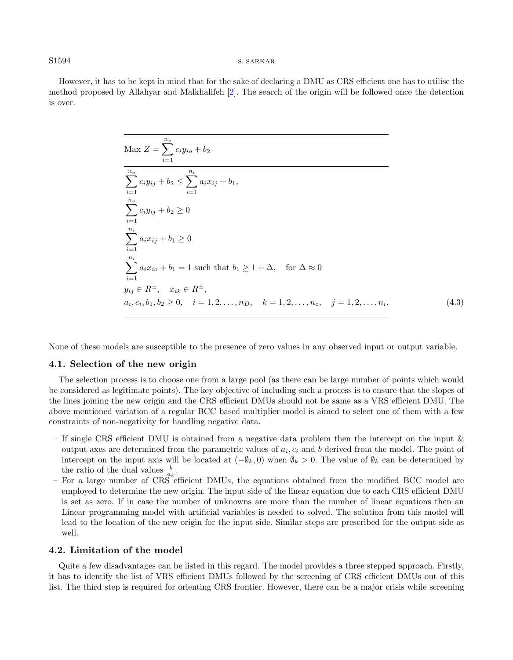#### S1594 S. SARKAR

However, it has to be kept in mind that for the sake of declaring a DMU as CRS efficient one has to utilise the method proposed by Allahyar and Malkhalifeh [\[2\]](#page-17-17). The search of the origin will be followed once the detection is over.

<span id="page-9-0"></span>
$$
\begin{aligned}\n\text{Max } Z &= \sum_{i=1}^{n_o} c_i y_{io} + b_2 \\
\frac{n_o}{\sum_{i=1}^{n_o} c_i y_{ij} + b_2} &\leq \sum_{i=1}^{n_i} a_i x_{ij} + b_1, \\
\sum_{i=1}^{n_o} c_i y_{ij} + b_2 &\geq 0 \\
\sum_{i=1}^{n_i} a_i x_{ij} + b_1 &\geq 0 \\
\sum_{i=1}^{n_i} a_i x_{io} + b_1 &= 1 \text{ such that } b_1 \geq 1 + \Delta, \quad \text{for } \Delta \approx 0 \\
y_{ij} &\in R^{\pm}, \quad x_{ik} \in R^{\pm}, \\
a_i, c_i, b_1, b_2 \geq 0, \quad i = 1, 2, \dots, n_D, \quad k = 1, 2, \dots, n_o, \quad j = 1, 2, \dots, n_i.\n\end{aligned} \tag{4.3}
$$

None of these models are susceptible to the presence of zero values in any observed input or output variable.

### <span id="page-9-1"></span>4.1. Selection of the new origin

The selection process is to choose one from a large pool (as there can be large number of points which would be considered as legitimate points). The key objective of including such a process is to ensure that the slopes of the lines joining the new origin and the CRS efficient DMUs should not be same as a VRS efficient DMU. The above mentioned variation of a regular BCC based multiplier model is aimed to select one of them with a few constraints of non-negativity for handling negative data.

- If single CRS efficient DMU is obtained from a negative data problem then the intercept on the input & output axes are determined from the parametric values of  $a_i, c_i$  and b derived from the model. The point of intercept on the input axis will be located at  $(-\emptyset_k, 0)$  when  $\emptyset_k > 0$ . The value of  $\emptyset_k$  can be determined by the ratio of the dual values  $\frac{b}{a_k}$ .
- For a large number of CRS efficient DMUs, the equations obtained from the modified BCC model are employed to determine the new origin. The input side of the linear equation due to each CRS efficient DMU is set as zero. If in case the number of unknowns are more than the number of linear equations then an Linear programming model with artificial variables is needed to solved. The solution from this model will lead to the location of the new origin for the input side. Similar steps are prescribed for the output side as well.

# 4.2. Limitation of the model

Quite a few disadvantages can be listed in this regard. The model provides a three stepped approach. Firstly, it has to identify the list of VRS efficient DMUs followed by the screening of CRS efficient DMUs out of this list. The third step is required for orienting CRS frontier. However, there can be a major crisis while screening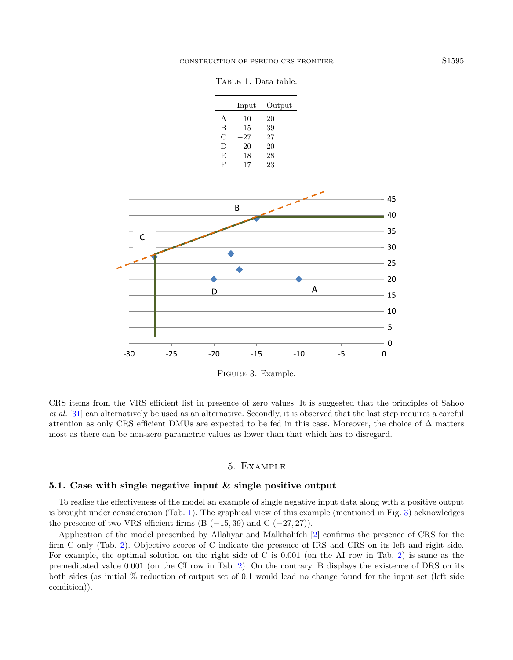<span id="page-10-1"></span>TABLE 1. Data table.

|   | Input    | Output |
|---|----------|--------|
| A | $-10$    | 20     |
| B | $-15$    | 39     |
| С | $^{-27}$ | 27     |
| D | $-20$    | 20     |
| E | $^{-18}$ | 28     |
| F | $-17$    | 23     |
|   |          |        |



<span id="page-10-2"></span>Figure 3. Example.

CRS items from the VRS efficient list in presence of zero values. It is suggested that the principles of Sahoo et al. [\[31\]](#page-18-8) can alternatively be used as an alternative. Secondly, it is observed that the last step requires a careful attention as only CRS efficient DMUs are expected to be fed in this case. Moreover, the choice of  $\Delta$  matters most as there can be non-zero parametric values as lower than that which has to disregard.

### 5. Example

### <span id="page-10-0"></span>5.1. Case with single negative input & single positive output

To realise the effectiveness of the model an example of single negative input data along with a positive output is brought under consideration (Tab. [1\)](#page-10-1). The graphical view of this example (mentioned in Fig. [3\)](#page-10-2) acknowledges the presence of two VRS efficient firms  $(B (-15, 39)$  and  $C (-27, 27)$ .

Application of the model prescribed by Allahyar and Malkhalifeh [\[2\]](#page-17-17) confirms the presence of CRS for the firm C only (Tab. [2\)](#page-11-0). Objective scores of C indicate the presence of IRS and CRS on its left and right side. For example, the optimal solution on the right side of C is 0.001 (on the AI row in Tab. [2\)](#page-11-0) is same as the premeditated value 0.001 (on the CI row in Tab. [2\)](#page-11-0). On the contrary, B displays the existence of DRS on its both sides (as initial % reduction of output set of 0.1 would lead no change found for the input set (left side condition)).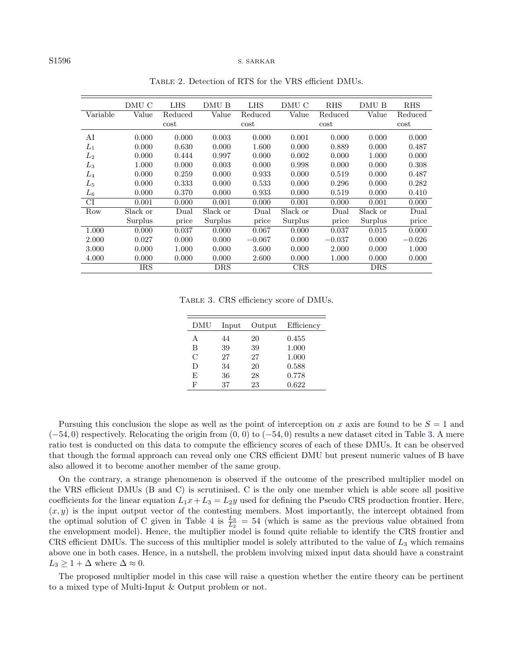#### S1596 S. SARKAR

|                    | DMU C      | <b>LHS</b>        | DMU B      | <b>LHS</b>      | DMU C      | <b>RHS</b>        | DMU B      | <b>RHS</b>      |
|--------------------|------------|-------------------|------------|-----------------|------------|-------------------|------------|-----------------|
| Variable           | Value      | Reduced<br>$\cot$ | Value      | Reduced<br>cost | Value      | Reduced<br>$\cot$ | Value      | Reduced<br>cost |
| AI                 | 0.000      | 0.000             | 0.003      | 0.000           | 0.001      | 0.000             | 0.000      | 0.000           |
| $L_1$              | 0.000      | 0.630             | 0.000      | 1.600           | 0.000      | 0.889             | 0.000      | 0.487           |
| $L_2$              | 0.000      | 0.444             | 0.997      | 0.000           | 0.002      | 0.000             | 1.000      | 0.000           |
| $L_3$              | 1.000      | 0.000             | 0.003      | 0.000           | 0.998      | 0.000             | 0.000      | 0.308           |
| $L_4$              | 0.000      | 0.259             | 0.000      | 0.933           | 0.000      | 0.519             | 0.000      | 0.487           |
| $L_5$              | 0.000      | 0.333             | 0.000      | 0.533           | 0.000      | 0.296             | 0.000      | 0.282           |
| $\scriptstyle L_6$ | 0.000      | 0.370             | 0.000      | 0.933           | 0.000      | 0.519             | 0.000      | 0.410           |
| <b>CI</b>          | 0.001      | 0.000             | 0.001      | 0.000           | 0.001      | 0.000             | 0.001      | 0.000           |
| Row                | Slack or   | Dual              | Slack or   | Dual            | Slack or   | Dual              | Slack or   | Dual            |
|                    | Surplus    | price             | Surplus    | price           | Surplus    | price             | Surplus    | price           |
| 1.000              | 0.000      | 0.037             | 0.000      | 0.067           | 0.000      | 0.037             | 0.015      | 0.000           |
| 2.000              | 0.027      | 0.000             | 0.000      | $-0.067$        | 0.000      | $-0.037$          | 0.000      | $-0.026$        |
| 3.000              | 0.000      | 1.000             | 0.000      | 3.600           | 0.000      | 2.000             | 0.000      | 1.000           |
| 4.000              | 0.000      | 0.000             | 0.000      | 2.600           | 0.000      | 1.000             | 0.000      | 0.000           |
|                    | <b>IRS</b> |                   | <b>DRS</b> |                 | <b>CRS</b> |                   | <b>DRS</b> |                 |

<span id="page-11-1"></span><span id="page-11-0"></span>Table 2. Detection of RTS for the VRS efficient DMUs.

Table 3. CRS efficiency score of DMUs.

| DMU           | Input | Output | Efficiency |
|---------------|-------|--------|------------|
| А             | 44    | 20     | 0.455      |
| B             | 39    | 39     | 1.000      |
| $\mathcal{C}$ | 27    | 27     | 1.000      |
| D             | 34    | 20     | 0.588      |
| F,            | 36    | 28     | 0.778      |
| F             | 37    | 23     | 0.622      |

Pursuing this conclusion the slope as well as the point of interception on x axis are found to be  $S = 1$  and  $(-54, 0)$  respectively. Relocating the origin from  $(0, 0)$  to  $(-54, 0)$  results a new dataset cited in Table [3.](#page-11-1) A mere ratio test is conducted on this data to compute the efficiency scores of each of these DMUs. It can be observed that though the formal approach can reveal only one CRS efficient DMU but present numeric values of B have also allowed it to become another member of the same group.

On the contrary, a strange phenomenon is observed if the outcome of the prescribed multiplier model on the VRS efficient DMUs (B and C) is scrutinised. C is the only one member which is able score all positive coefficients for the linear equation  $L_1x + L_3 = L_2y$  used for defining the Pseudo CRS production frontier. Here,  $(x, y)$  is the input output vector of the contesting members. Most importantly, the intercept obtained from the optimal solution of C given in Table [4](#page-12-0) is  $\frac{L_3}{L_2} = 54$  (which is same as the previous value obtained from the envelopment model). Hence, the multiplier model is found quite reliable to identify the CRS frontier and CRS efficient DMUs. The success of this multiplier model is solely attributed to the value of  $L_3$  which remains above one in both cases. Hence, in a nutshell, the problem involving mixed input data should have a constraint  $L_3 \geq 1 + \Delta$  where  $\Delta \approx 0$ .

The proposed multiplier model in this case will raise a question whether the entire theory can be pertinent to a mixed type of Multi-Input & Output problem or not.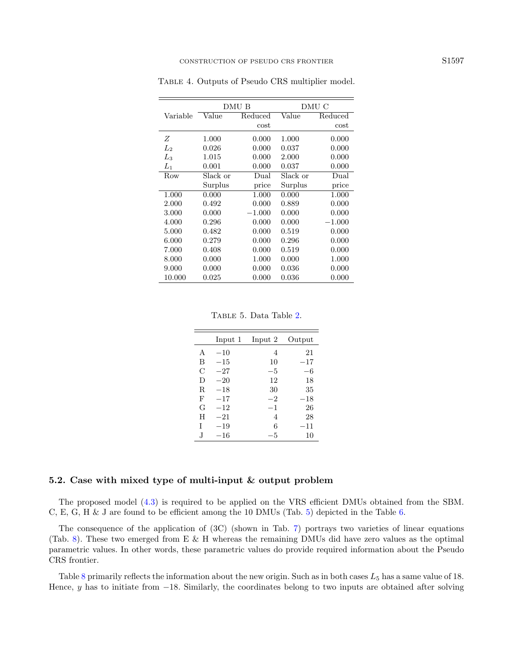|                     |          | DMU B    |          | DMU C    |
|---------------------|----------|----------|----------|----------|
| Variable            | Value    | Reduced  | Value    | Reduced  |
|                     |          | cost     |          | $\cot$   |
| Ζ                   | 1.000    | 0.000    | 1.000    | 0.000    |
| $\scriptstyle{L_2}$ | 0.026    | 0.000    | 0.037    | 0.000    |
| Lз                  | 1.015    | 0.000    | 2.000    | 0.000    |
| $L_1$               | 0.001    | 0.000    | 0.037    | 0.000    |
| Row                 | Slack or | Dual     | Slack or | Dual     |
|                     | Surplus  | price    | Surplus  | price    |
| 1.000               | 0.000    | 1.000    | 0.000    | 1.000    |
| 2.000               | 0.492    | 0.000    | 0.889    | 0.000    |
| 3.000               | 0.000    | $-1.000$ | 0.000    | 0.000    |
| 4.000               | 0.296    | 0.000    | 0.000    | $-1.000$ |
| 5.000               | 0.482    | 0.000    | 0.519    | 0.000    |
| 6.000               | 0.279    | 0.000    | 0.296    | 0.000    |
| 7.000               | 0.408    | 0.000    | 0.519    | 0.000    |
| 8.000               | 0.000    | 1.000    | 0.000    | 1.000    |
| 9.000               | 0.000    | 0.000    | 0.036    | 0.000    |
| 10.000              | 0.025    | 0.000    | 0.036    | 0.000    |

<span id="page-12-0"></span>Table 4. Outputs of Pseudo CRS multiplier model.

<span id="page-12-1"></span>Table 5. Data Table [2.](#page-11-0)

|    | Input 1  | Input 2 | Output |
|----|----------|---------|--------|
| A  | $-10$    | 4       | 21     |
| В  | $-15$    | 10      | $-17$  |
| С  | $-27$    | $-5$    | -6     |
| D  | $-20$    | 12      | 18     |
| R  | $-18$    | 30      | 35     |
| F  | $-17$    | $-2$    | $-18$  |
| G  | $-12$    | $-1$    | 26     |
| H  | $-21$    | 4       | 28     |
| T  | $-19$    | 6       | $-11$  |
| J. | $^{-16}$ | $-5$    | 10     |

# 5.2. Case with mixed type of multi-input & output problem

The proposed model [\(4.3\)](#page-9-0) is required to be applied on the VRS efficient DMUs obtained from the SBM. C, E, G, H & J are found to be efficient among the 10 DMUs (Tab. [5\)](#page-12-1) depicted in the Table [6.](#page-13-0)

The consequence of the application of (3C) (shown in Tab. [7\)](#page-14-0) portrays two varieties of linear equations (Tab. [8\)](#page-14-1). These two emerged from E & H whereas the remaining DMUs did have zero values as the optimal parametric values. In other words, these parametric values do provide required information about the Pseudo CRS frontier.

Table [8](#page-14-1) primarily reflects the information about the new origin. Such as in both cases  $L_5$  has a same value of 18. Hence, y has to initiate from  $-18$ . Similarly, the coordinates belong to two inputs are obtained after solving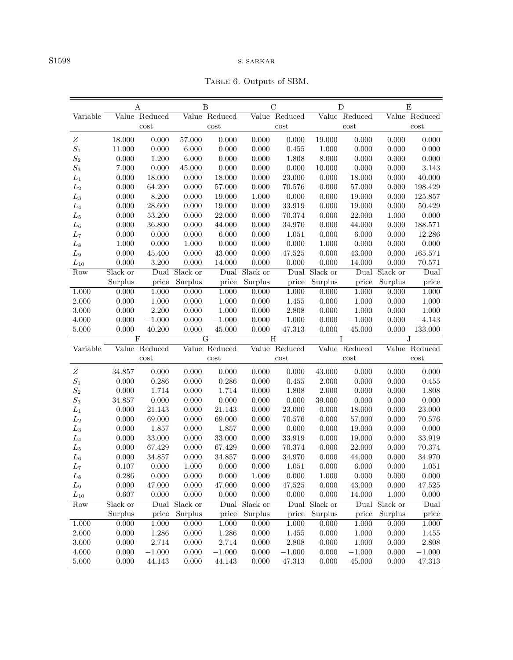<span id="page-13-0"></span>Table 6. Outputs of SBM.

|                   |                   | А               |                   | B              |                   | $\mathcal{C}$                |                        | D              |                   | E               |
|-------------------|-------------------|-----------------|-------------------|----------------|-------------------|------------------------------|------------------------|----------------|-------------------|-----------------|
| Variable          |                   | Value Reduced   |                   | Value Reduced  |                   | Value Reduced                |                        | Value Reduced  |                   | Value Reduced   |
|                   |                   | cost            |                   | cost           |                   | cost                         |                        | cost           |                   | cost            |
| Ζ                 | 18.000            | 0.000           | 57.000            | 0.000          | 0.000             | 0.000                        | 19.000                 | 0.000          | 0.000             | 0.000           |
| $\mathcal{S}_1$   | 11.000            | 0.000           | 6.000             | 0.000          | 0.000             | 0.455                        | 1.000                  | 0.000          | 0.000             | 0.000           |
| $\mathcal{S}_2$   | 0.000             | 1.200           | 6.000             | 0.000          | 0.000             | 1.808                        | 8.000                  | 0.000          | 0.000             | 0.000           |
| $\mathcal{S}_3$   | 7.000             | 0.000           | 45.000            | 0.000          | 0.000             | 0.000                        | 10.000                 | 0.000          | 0.000             | 3.143           |
| $L_1$             | 0.000             | 18.000          | 0.000             | 18.000         | 0.000             | 23.000                       | 0.000                  | 18.000         | 0.000             | 40.000          |
| $L_2$             | 0.000             | 64.200          | 0.000             | 57.000         | 0.000             | 70.576                       | 0.000                  | 57.000         | 0.000             | 198.429         |
| $L_3$             | 0.000             | 8.200           | 0.000             | 19.000         | 1.000             | 0.000                        | 0.000                  | 19.000         | 0.000             | 125.857         |
| $\mathcal{L}_4$   | 0.000             | 28.600          | 0.000             | 19.000         | 0.000             | 33.919                       | 0.000                  | 19.000         | 0.000             | 50.429          |
| $L_5$             | 0.000             | 53.200          | 0.000             | 22.000         | 0.000             | 70.374                       | 0.000                  | $22.000\,$     | 1.000             | 0.000           |
| $L_6$             | 0.000             | 36.800          | 0.000             | 44.000         | 0.000             | 34.970                       | 0.000                  | 44.000         | 0.000             | 188.571         |
| L <sub>7</sub>    | 0.000             | 0.000           | 0.000             | 6.000          | 0.000             | 1.051                        | 0.000                  | 6.000          | 0.000             | 12.286          |
| $L_8$             | 1.000             | 0.000           | 1.000             | 0.000          | 0.000             | 0.000                        | 1.000                  | 0.000          | 0.000             | 0.000           |
| $\mathcal{L}_{9}$ | 0.000             | 45.400          | 0.000             | 43.000         | 0.000             | 47.525                       | 0.000                  | 43.000         | 0.000             | 165.571         |
| $L_{10}$          | 0.000             | 3.200           | 0.000             | 14.000         | 0.000             | 0.000                        | 0.000                  | 14.000         | 0.000             | 70.571          |
| Row               | Slack or          | Dual            | Slack or          | Dual           | Slack or          |                              | Dual Slack or          | Dual           | Slack or          | Dual            |
|                   | Surplus           | price           | Surplus           | price          | Surplus           | price                        | Surplus                | price          | Surplus           | price           |
| 1.000             | 0.000             | 1.000           | 0.000             | 1.000          | 0.000             | 1.000                        | 0.000                  | 1.000          | 0.000             | 1.000           |
| 2.000             | 0.000             | 1.000           | 0.000             | 1.000          | 0.000             | 1.455                        | 0.000                  | 1.000          | 0.000             | 1.000           |
| 3.000             | 0.000             | 2.200           | 0.000             | 1.000          | 0.000             | 2.808                        | 0.000                  | 1.000          | 0.000             | 1.000           |
| 4.000             | 0.000             | $-1.000$        | 0.000             | $-1.000$       | 0.000             | $-1.000$                     | 0.000                  | $-1.000$       | 0.000             | $-4.143$        |
| 5.000             | 0.000             | 40.200          | 0.000             | 45.000         | 0.000             | 47.313                       | 0.000                  | 45.000         | 0.000             | 133.000         |
|                   |                   | $\overline{F}$  |                   | $\overline{G}$ |                   | H                            |                        | Ι              |                   | J               |
| Variable          |                   | Value Reduced   |                   | Value Reduced  |                   | Value Reduced                |                        | Value Reduced  |                   | Value Reduced   |
|                   |                   | cost            |                   | cost           |                   | $\mathop{\rm cost}\nolimits$ |                        | cost           |                   | cost            |
| $\boldsymbol{Z}$  | 34.857            | 0.000           | 0.000             | 0.000          | 0.000             | 0.000                        | 43.000                 | 0.000          | 0.000             | 0.000           |
| $\mathcal{S}_1$   | 0.000             | 0.286           | 0.000             | 0.286          | 0.000             | 0.455                        | 2.000                  | 0.000          | 0.000             | 0.455           |
| $\mathcal{S}_2$   | 0.000             | 1.714           | 0.000             | 1.714          | 0.000             | 1.808                        | 2.000                  | 0.000          | 0.000             | 1.808           |
| $\mathcal{S}_3$   | 34.857            | 0.000           | 0.000             | 0.000          | 0.000             | 0.000                        | 39.000                 | 0.000          | 0.000             | 0.000           |
| $L_1$             | 0.000             | 21.143          | 0.000             | 21.143         | 0.000             | 23.000                       | 0.000                  | 18.000         | 0.000             | 23.000          |
| L <sub>2</sub>    | 0.000             | 69.000          | 0.000             | 69.000         | 0.000             | 70.576                       | 0.000                  | 57.000         | 0.000             | 70.576          |
| $L_3$             | 0.000             | 1.857           | 0.000             | 1.857          | 0.000             | 0.000                        | 0.000                  | 19.000         | 0.000             | 0.000           |
| $L_4$             | 0.000             | 33.000          | 0.000             | 33.000         | 0.000             | 33.919                       | 0.000                  | 19.000         | 0.000             | 33.919          |
| $L_5$             | 0.000             | 67.429          | 0.000             | 67.429         | 0.000             | 70.374                       | 0.000                  | 22.000         | 0.000             | 70.374          |
| $\mathcal{L}_6$   | 0.000             | 34.857          | 0.000             | 34.857         | 0.000             | 34.970                       | 0.000                  | 44.000         | 0.000             | 34.970          |
| $L_7$             | 0.107             | 0.000           | 1.000             | 0.000          | 0.000             | 1.051                        | 0.000                  | 6.000          | 0.000             | 1.051           |
| $L_8$             | 0.286             | 0.000<br>47.000 | 0.000             | 0.000          | 1.000             | 0.000<br>47.525              | 1.000<br>$0.000\,$     | 0.000          | 0.000             | 0.000<br>47.525 |
| $L_9$             | 0.000             |                 | 0.000             | 47.000         | 0.000             |                              |                        | $43.000\,$     | 0.000             |                 |
| $L_{10}$<br>Row   | 0.607<br>Slack or | 0.000<br>Dual   | 0.000<br>Slack or | 0.000<br>Dual  | 0.000<br>Slack or | 0.000                        | 0.000<br>Dual Slack or | 14.000<br>Dual | 1.000<br>Slack or | 0.000<br>Dual   |
|                   | Surplus           | price           |                   |                | Surplus           |                              | Surplus                |                | Surplus           |                 |
| 1.000             | 0.000             | 1.000           | Surplus<br>0.000  | price<br>1.000 | 0.000             | price<br>1.000               | 0.000                  | price<br>1.000 | 0.000             | price<br>1.000  |
| $2.000\,$         | 0.000             | $1.286\,$       | 0.000             | 1.286          | $0.000\,$         |                              | 0.000                  | $1.000\,$      | 0.000             | $1.455\,$       |
| 3.000             | 0.000             | 2.714           | 0.000             | 2.714          | 0.000             | 1.455<br>2.808               | 0.000                  | $1.000\,$      | 0.000             | 2.808           |
|                   |                   |                 |                   |                |                   |                              |                        |                |                   |                 |
|                   |                   |                 |                   |                |                   |                              |                        |                |                   |                 |
| 4.000             | 0.000             | $-1.000$        | 0.000             | $-1.000$       | 0.000             | $-1.000$                     | 0.000                  | $-1.000$       | 0.000             | $-1.000$        |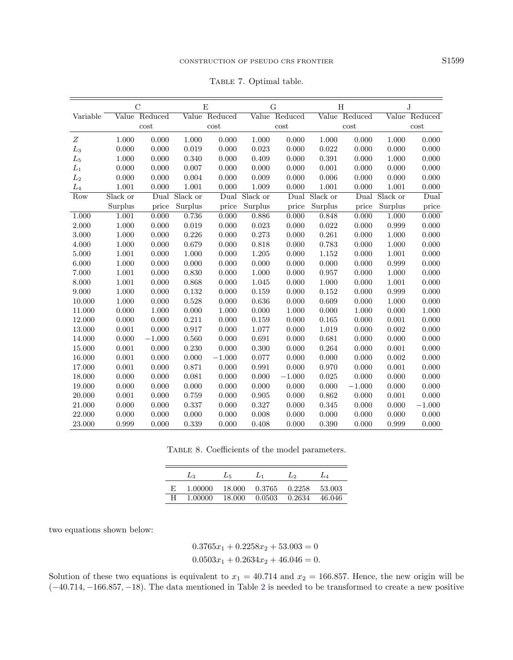<span id="page-14-0"></span>

| TABLE 7. Optimal table. |  |  |
|-------------------------|--|--|
|-------------------------|--|--|

|                |          | $\mathcal{C}$ |          | E             |          | G        |          | H             |          | J             |
|----------------|----------|---------------|----------|---------------|----------|----------|----------|---------------|----------|---------------|
| Variable       |          | Value Reduced |          | Value Reduced | Value    | Reduced  |          | Value Reduced |          | Value Reduced |
|                |          | cost          |          | cost          |          | cost     |          | cost          |          | cost          |
| Ζ              | 1.000    | 0.000         | 1.000    | 0.000         | 1.000    | 0.000    | 1.000    | 0.000         | 1.000    | 0.000         |
| $L_3$          | 0.000    | 0.000         | 0.019    | 0.000         | 0.023    | 0.000    | 0.022    | 0.000         | 0.000    | 0.000         |
| $L_5$          | 1.000    | 0.000         | 0.340    | 0.000         | 0.409    | 0.000    | 0.391    | 0.000         | 1.000    | 0.000         |
| $L_1$          | 0.000    | 0.000         | 0.007    | 0.000         | 0.000    | 0.000    | 0.001    | 0.000         | 0.000    | 0.000         |
| L <sub>2</sub> | 0.000    | 0.000         | 0.004    | 0.000         | 0.009    | 0.000    | 0.006    | 0.000         | 0.000    | 0.000         |
| $L_4$          | 1.001    | 0.000         | 1.001    | 0.000         | 1.009    | 0.000    | 1.001    | 0.000         | 1.001    | 0.000         |
| Row            | Slack or | Dual          | Slack or | Dual          | Slack or | Dual     | Slack or | Dual          | Slack or | Dual          |
|                | Surplus  | price         | Surplus  | price         | Surplus  | price    | Surplus  | price         | Surplus  | price         |
| 1.000          | 1.001    | 0.000         | 0.736    | 0.000         | 0.886    | 0.000    | 0.848    | 0.000         | 1.000    | 0.000         |
| 2.000          | 1.000    | 0.000         | 0.019    | 0.000         | 0.023    | 0.000    | 0.022    | 0.000         | 0.999    | 0.000         |
| 3.000          | 1.000    | 0.000         | 0.226    | 0.000         | 0.273    | 0.000    | 0.261    | 0.000         | 1.000    | 0.000         |
| 4.000          | 1.000    | 0.000         | 0.679    | 0.000         | 0.818    | 0.000    | 0.783    | 0.000         | 1.000    | 0.000         |
| 5.000          | 1.001    | 0.000         | 1.000    | 0.000         | 1.205    | 0.000    | 1.152    | 0.000         | 1.001    | 0.000         |
| 6.000          | 1.000    | 0.000         | 0.000    | 0.000         | 0.000    | 0.000    | 0.000    | 0.000         | 0.999    | 0.000         |
| 7.000          | 1.001    | 0.000         | 0.830    | 0.000         | 1.000    | 0.000    | 0.957    | 0.000         | 1.000    | 0.000         |
| 8.000          | 1.001    | 0.000         | 0.868    | 0.000         | 1.045    | 0.000    | 1.000    | 0.000         | 1.001    | 0.000         |
| 9.000          | 1.000    | 0.000         | 0.132    | 0.000         | 0.159    | 0.000    | 0.152    | 0.000         | 0.999    | 0.000         |
| 10.000         | 1.000    | 0.000         | 0.528    | 0.000         | 0.636    | 0.000    | 0.609    | 0.000         | 1.000    | 0.000         |
| 11.000         | 0.000    | 1.000         | 0.000    | 1.000         | 0.000    | 1.000    | 0.000    | 1.000         | 0.000    | 1.000         |
| 12.000         | 0.000    | 0.000         | 0.211    | 0.000         | 0.159    | 0.000    | 0.165    | $0.000\,$     | 0.001    | 0.000         |
| 13.000         | 0.001    | 0.000         | 0.917    | 0.000         | 1.077    | 0.000    | 1.019    | 0.000         | 0.002    | 0.000         |
| 14.000         | 0.000    | $-1.000$      | 0.560    | 0.000         | 0.691    | 0.000    | 0.681    | 0.000         | 0.000    | 0.000         |
| 15.000         | 0.001    | 0.000         | 0.230    | 0.000         | 0.300    | 0.000    | 0.264    | 0.000         | 0.001    | 0.000         |
| 16.000         | 0.001    | 0.000         | 0.000    | $-1.000$      | 0.077    | 0.000    | 0.000    | 0.000         | 0.002    | 0.000         |
| 17.000         | 0.001    | 0.000         | 0.871    | 0.000         | 0.991    | 0.000    | 0.970    | 0.000         | 0.001    | 0.000         |
| 18.000         | 0.000    | 0.000         | 0.081    | 0.000         | 0.000    | $-1.000$ | 0.025    | 0.000         | 0.000    | 0.000         |
| 19.000         | 0.000    | 0.000         | 0.000    | 0.000         | 0.000    | 0.000    | 0.000    | $-1.000$      | 0.000    | 0.000         |
| 20.000         | 0.001    | 0.000         | 0.759    | 0.000         | 0.905    | 0.000    | 0.862    | 0.000         | 0.001    | 0.000         |
| 21.000         | 0.000    | 0.000         | 0.337    | 0.000         | 0.327    | 0.000    | 0.345    | 0.000         | 0.000    | $-1.000$      |
| 22.000         | 0.000    | 0.000         | 0.000    | 0.000         | 0.008    | 0.000    | 0.000    | 0.000         | 0.000    | 0.000         |
| 23.000         | 0.999    | 0.000         | 0.339    | 0.000         | 0.408    | 0.000    | 0.390    | 0.000         | 0.999    | 0.000         |

<span id="page-14-1"></span>Table 8. Coefficients of the model parameters.

|    | $L_3$   | $L_{5}$ |        | L۵     | $L_4$  |
|----|---------|---------|--------|--------|--------|
| F. | 1.00000 | 18.000  | 0.3765 | 0.2258 | 53.003 |
|    | 1.00000 | 18.000  | 0.0503 | 0.2634 | 46.046 |

two equations shown below:

 $0.3765x_1 + 0.2258x_2 + 53.003 = 0$  $0.0503x_1 + 0.2634x_2 + 46.046 = 0.$ 

Solution of these two equations is equivalent to  $x_1 = 40.714$  and  $x_2 = 166.857$ . Hence, the new origin will be (−40.714, −166.857, −18). The data mentioned in Table [2](#page-11-0) is needed to be transformed to create a new positive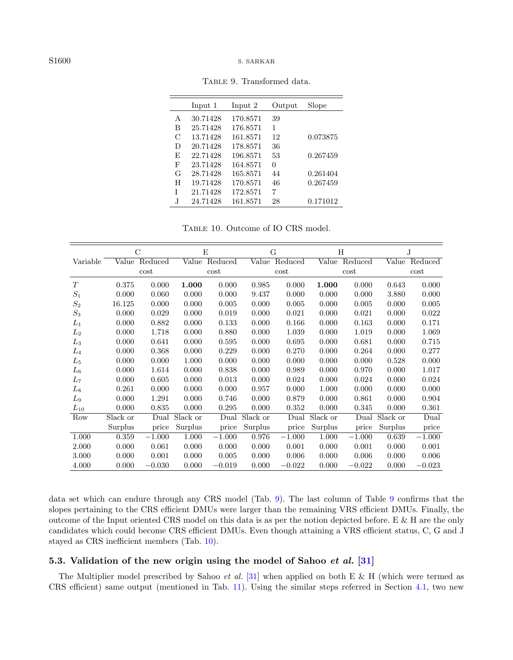|    | Input 1  | Input 2  | Output | Slope    |
|----|----------|----------|--------|----------|
| A  | 30.71428 | 170.8571 | 39     |          |
| В  | 25.71428 | 176.8571 | 1      |          |
| C  | 13.71428 | 161.8571 | 12     | 0.073875 |
| D  | 20.71428 | 178.8571 | 36     |          |
| F, | 22.71428 | 196.8571 | 53     | 0.267459 |
| F  | 23.71428 | 164.8571 | 0      |          |
| G  | 28.71428 | 165.8571 | 44     | 0.261404 |
| H  | 19.71428 | 170.8571 | 46     | 0.267459 |
| T  | 21.71428 | 172.8571 | 7      |          |
| J. | 24.71428 | 161.8571 | 28     | 0.171012 |

<span id="page-15-1"></span><span id="page-15-0"></span>Table 9. Transformed data.

Table 10. Outcome of IO CRS model.

|          | C        |          | E        |          | G        |          | H        |          | J        |          |
|----------|----------|----------|----------|----------|----------|----------|----------|----------|----------|----------|
| Variable | Value    | Reduced  | Value    | Reduced  | Value    | Reduced  | Value    | Reduced  | Value    | Reduced  |
|          | cost     |          | cost     |          | cost     |          | cost     |          | cost     |          |
| T        | 0.375    | 0.000    | 1.000    | 0.000    | 0.985    | 0.000    | 1.000    | 0.000    | 0.643    | 0.000    |
| $S_1$    | 0.000    | 0.060    | 0.000    | 0.000    | 9.437    | 0.000    | 0.000    | 0.000    | 3.880    | 0.000    |
| $S_2$    | 16.125   | 0.000    | 0.000    | 0.005    | 0.000    | 0.005    | 0.000    | 0.005    | 0.000    | 0.005    |
| $S_3$    | 0.000    | 0.029    | 0.000    | 0.019    | 0.000    | 0.021    | 0.000    | 0.021    | 0.000    | 0.022    |
| $L_1$    | 0.000    | 0.882    | 0.000    | 0.133    | 0.000    | 0.166    | 0.000    | 0.163    | 0.000    | 0.171    |
| $L_2$    | 0.000    | 1.718    | 0.000    | 0.880    | 0.000    | 1.039    | 0.000    | 1.019    | 0.000    | 1.069    |
| $L_3$    | 0.000    | 0.641    | 0.000    | 0.595    | 0.000    | 0.695    | 0.000    | 0.681    | 0.000    | 0.715    |
| $L_4$    | 0.000    | 0.368    | 0.000    | 0.229    | 0.000    | 0.270    | 0.000    | 0.264    | 0.000    | 0.277    |
| $L_5$    | 0.000    | 0.000    | 1.000    | 0.000    | 0.000    | 0.000    | 0.000    | 0.000    | 0.528    | 0.000    |
| $L_6$    | 0.000    | 1.614    | 0.000    | 0.838    | 0.000    | 0.989    | 0.000    | 0.970    | 0.000    | 1.017    |
| $L_7$    | 0.000    | 0.605    | 0.000    | 0.013    | 0.000    | 0.024    | 0.000    | 0.024    | 0.000    | 0.024    |
| $L_{8}$  | 0.261    | 0.000    | 0.000    | 0.000    | 0.957    | 0.000    | 1.000    | 0.000    | 0.000    | 0.000    |
| $L_9$    | 0.000    | 1.291    | 0.000    | 0.746    | 0.000    | 0.879    | 0.000    | 0.861    | 0.000    | 0.904    |
| $L_{10}$ | 0.000    | 0.835    | 0.000    | 0.295    | 0.000    | 0.352    | 0.000    | 0.345    | 0.000    | 0.361    |
| Row      | Slack or | Dual     | Slack or | Dual     | Slack or | Dual     | Slack or | Dual     | Slack or | Dual     |
|          | Surplus  | price    | Surplus  | price    | Surplus  | price    | Surplus  | price    | Surplus  | price    |
| 1.000    | 0.359    | $-1.000$ | 1.000    | $-1.000$ | 0.976    | $-1.000$ | 1.000    | $-1.000$ | 0.639    | $-1.000$ |
| 2.000    | 0.000    | 0.061    | 0.000    | 0.000    | 0.000    | 0.001    | 0.000    | 0.001    | 0.000    | 0.001    |
| 3.000    | 0.000    | 0.001    | 0.000    | 0.005    | 0.000    | 0.006    | 0.000    | 0.006    | 0.000    | 0.006    |
| 4.000    | 0.000    | $-0.030$ | 0.000    | $-0.019$ | 0.000    | $-0.022$ | 0.000    | $-0.022$ | 0.000    | $-0.023$ |

data set which can endure through any CRS model (Tab. [9\)](#page-15-0). The last column of Table [9](#page-15-0) confirms that the slopes pertaining to the CRS efficient DMUs were larger than the remaining VRS efficient DMUs. Finally, the outcome of the Input oriented CRS model on this data is as per the notion depicted before. E & H are the only candidates which could become CRS efficient DMUs. Even though attaining a VRS efficient status, C, G and J stayed as CRS inefficient members (Tab. [10\)](#page-15-1).

# 5.3. Validation of the new origin using the model of Sahoo  $et al. [31]$  $et al. [31]$

The Multiplier model prescribed by Sahoo et al. [\[31\]](#page-18-8) when applied on both E & H (which were termed as CRS efficient) same output (mentioned in Tab. [11\)](#page-16-0). Using the similar steps referred in Section [4.1,](#page-9-1) two new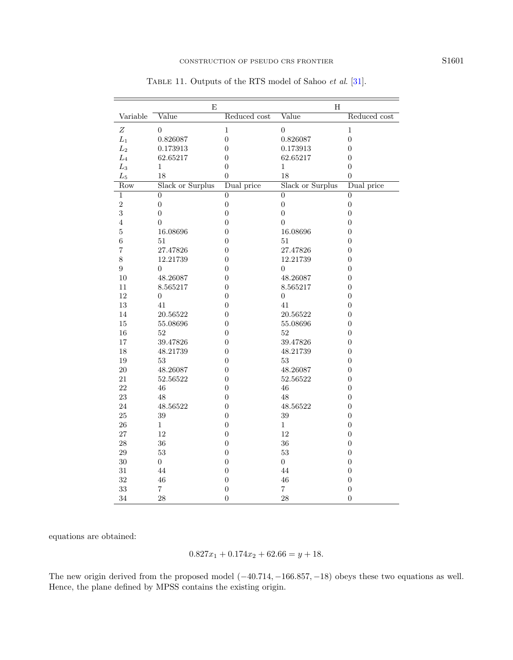|                  | E                         |                  | H                         |                  |
|------------------|---------------------------|------------------|---------------------------|------------------|
| Variable         | $\overline{\text{Value}}$ | Reduced cost     | $\overline{\text{Value}}$ | Reduced cost     |
| Ζ                | 0                         | 1                | $\boldsymbol{0}$          | $\mathbf 1$      |
| $L_1$            | 0.826087                  | $\overline{0}$   | 0.826087                  | $\boldsymbol{0}$ |
| $L_2$            | 0.173913                  | $\overline{0}$   | 0.173913                  | $\overline{0}$   |
| $\mathcal{L}_4$  | 62.65217                  | $\overline{0}$   | 62.65217                  | $\overline{0}$   |
| $L_3$            | 1                         | $\overline{0}$   | 1                         | $\overline{0}$   |
| $L_5$            | 18                        | $\overline{0}$   | 18                        | $\overline{0}$   |
| Row              | Slack or Surplus          | Dual price       | Slack or Surplus          | Dual price       |
| $\overline{1}$   | $\overline{0}$            | $\overline{0}$   | $\overline{0}$            | $\overline{0}$   |
| $\overline{2}$   | $\boldsymbol{0}$          | $\boldsymbol{0}$ | $\overline{0}$            | $\boldsymbol{0}$ |
| 3                | $\overline{0}$            | $\overline{0}$   | $\overline{0}$            | $\boldsymbol{0}$ |
| $\overline{4}$   | $\boldsymbol{0}$          | $\boldsymbol{0}$ | $\overline{0}$            | $\boldsymbol{0}$ |
| $\overline{5}$   | 16.08696                  | $\boldsymbol{0}$ | 16.08696                  | $\boldsymbol{0}$ |
| $\boldsymbol{6}$ | 51                        | $\overline{0}$   | 51                        | $\boldsymbol{0}$ |
| $\overline{7}$   | 27.47826                  | $\boldsymbol{0}$ | 27.47826                  | 0                |
| 8                | 12.21739                  | $\overline{0}$   | 12.21739                  | $\boldsymbol{0}$ |
| $\boldsymbol{9}$ | $\overline{0}$            | $\overline{0}$   | $\overline{0}$            | $\boldsymbol{0}$ |
| 10               | 48.26087                  | $\boldsymbol{0}$ | 48.26087                  | 0                |
| 11               | 8.565217                  | $\boldsymbol{0}$ | 8.565217                  | $\boldsymbol{0}$ |
| 12               | 0                         | $\boldsymbol{0}$ | 0                         | $\boldsymbol{0}$ |
| 13               | 41                        | $\overline{0}$   | 41                        | $\overline{0}$   |
| 14               | 20.56522                  | $\boldsymbol{0}$ | 20.56522                  | 0                |
| $15\,$           | 55.08696                  | $\overline{0}$   | 55.08696                  | $\overline{0}$   |
| 16               | 52                        | $\overline{0}$   | 52                        | $\overline{0}$   |
| 17               | 39.47826                  | $\boldsymbol{0}$ | 39.47826                  | 0                |
| 18               | 48.21739                  | $\overline{0}$   | 48.21739                  | $\boldsymbol{0}$ |
| $19\,$           | $53\,$                    | $\overline{0}$   | 53                        | $\boldsymbol{0}$ |
| 20               | 48.26087                  | $\overline{0}$   | 48.26087                  | $\overline{0}$   |
| 21               | 52.56522                  | $\overline{0}$   | 52.56522                  | $\boldsymbol{0}$ |
| 22               | 46                        | $\overline{0}$   | 46                        | $\boldsymbol{0}$ |
| 23               | 48                        | $\overline{0}$   | 48                        | $\boldsymbol{0}$ |
| 24               | 48.56522                  | $\boldsymbol{0}$ | 48.56522                  | $\boldsymbol{0}$ |
| 25               | 39                        | $\overline{0}$   | 39                        | $\boldsymbol{0}$ |
| 26               | $\mathbf{1}$              | $\boldsymbol{0}$ | 1                         | $\boldsymbol{0}$ |
| 27               | 12                        | $\boldsymbol{0}$ | 12                        | $\overline{0}$   |
| 28               | 36                        | $\boldsymbol{0}$ | 36                        | $\boldsymbol{0}$ |
| $\,29$           | $53\,$                    | $\boldsymbol{0}$ | 53                        | $\boldsymbol{0}$ |
| 30               | $\overline{0}$            | $\overline{0}$   | $\overline{0}$            | $\overline{0}$   |
| 31               | 44                        | $\boldsymbol{0}$ | 44                        | $\boldsymbol{0}$ |
| 32               | 46                        | $\overline{0}$   | 46                        | $\overline{0}$   |
| 33               | $\overline{\mathbf{7}}$   | $\boldsymbol{0}$ | $\overline{7}$            | $\boldsymbol{0}$ |
| 34               | 28                        | $\boldsymbol{0}$ | 28                        | $\overline{0}$   |

<span id="page-16-0"></span>TABLE 11. Outputs of the RTS model of Sahoo et al. [\[31\]](#page-18-8).

equations are obtained:

$$
0.827x_1 + 0.174x_2 + 62.66 = y + 18.
$$

The new origin derived from the proposed model  $(-40.714, -166.857, -18)$  obeys these two equations as well. Hence, the plane defined by MPSS contains the existing origin.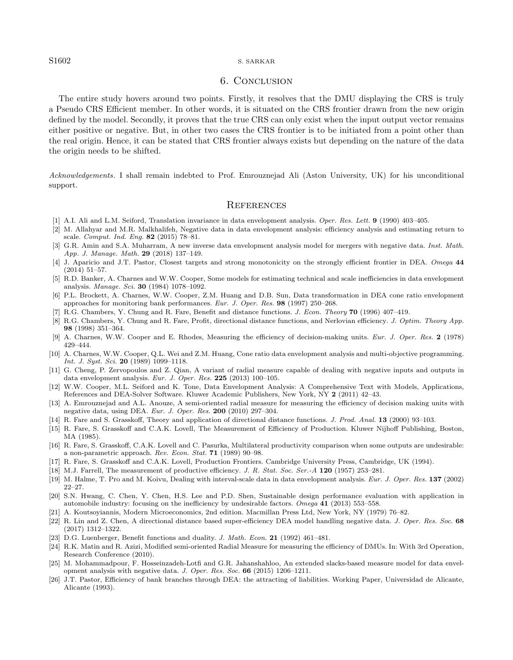#### <span id="page-17-20"></span>S1602 S. SARKAR

# 6. Conclusion

<span id="page-17-18"></span><span id="page-17-17"></span><span id="page-17-7"></span>The entire study hovers around two points. Firstly, it resolves that the DMU displaying the CRS is truly a Pseudo CRS Efficient member. In other words, it is situated on the CRS frontier drawn from the new origin defined by the model. Secondly, it proves that the true CRS can only exist when the input output vector remains either positive or negative. But, in other two cases the CRS frontier is to be initiated from a point other than the real origin. Hence, it can be stated that CRS frontier always exists but depending on the nature of the data the origin needs to be shifted.

<span id="page-17-12"></span><span id="page-17-5"></span><span id="page-17-1"></span>Acknowledgements. I shall remain indebted to Prof. Emrouznejad Ali (Aston University, UK) for his unconditional support.

#### **REFERENCES**

- <span id="page-17-14"></span><span id="page-17-3"></span>[1] A.I. Ali and L.M. Seiford, Translation invariance in data envelopment analysis. Oper. Res. Lett. 9 (1990) 403–405.
- [2] M. Allahyar and M.R. Malkhalifeh, Negative data in data envelopment analysis: efficiency analysis and estimating return to scale. Comput. Ind. Eng. 82 (2015) 78–81.
- <span id="page-17-15"></span>[3] G.R. Amin and S.A. Muharram, A new inverse data envelopment analysis model for mergers with negative data. Inst. Math. App. J. Manage. Math. 29 (2018) 137–149.
- <span id="page-17-8"></span>[4] J. Aparicio and J.T. Pastor, Closest targets and strong monotonicity on the strongly efficient frontier in DEA. Omega 44 (2014) 51–57.
- <span id="page-17-10"></span>[5] R.D. Banker, A. Charnes and W.W. Cooper, Some models for estimating technical and scale inefficiencies in data envelopment analysis. Manage. Sci. 30 (1984) 1078–1092.
- [6] P.L. Brockett, A. Charnes, W.W. Cooper, Z.M. Huang and D.B. Sun, Data transformation in DEA cone ratio envelopment approaches for monitoring bank performances. Eur. J. Oper. Res. 98 (1997) 250–268.
- <span id="page-17-2"></span>[7] R.G. Chambers, Y. Chung and R. Fare, Benefit and distance functions. J. Econ. Theory 70 (1996) 407–419.
- [8] R.G. Chambers, Y. Chung and R. Fare, Profit, directional distance functions, and Nerlovian efficiency. J. Optim. Theory App. 98 (1998) 351–364.
- <span id="page-17-16"></span>[9] A. Charnes, W.W. Cooper and E. Rhodes, Measuring the efficiency of decision-making units. Eur. J. Oper. Res. 2 (1978) 429–444.
- <span id="page-17-9"></span><span id="page-17-4"></span>[10] A. Charnes, W.W. Cooper, Q.L. Wei and Z.M. Huang, Cone ratio data envelopment analysis and multi-objective programming. Int. J. Syst. Sci. 20 (1989) 1099–1118.
- [11] G. Cheng, P. Zervopoulos and Z. Qian, A variant of radial measure capable of dealing with negative inputs and outputs in data envelopment analysis. Eur. J. Oper. Res. 225 (2013) 100–105.
- <span id="page-17-0"></span>[12] W.W. Cooper, M.L. Seiford and K. Tone, Data Envelopment Analysis: A Comprehensive Text with Models, Applications, References and DEA-Solver Software. Kluwer Academic Publishers, New York, NY 2 (2011) 42–43.
- <span id="page-17-19"></span>[13] A. Emrouznejad and A.L. Anouze, A semi-oriented radial measure for measuring the efficiency of decision making units with negative data, using DEA. Eur. J. Oper. Res. 200 (2010) 297–304.
- <span id="page-17-13"></span><span id="page-17-11"></span>[14] R. Fare and S. Grasskoff, Theory and application of directional distance functions. J. Prod. Anal. 13 (2000) 93–103.
- [15] R. Fare, S. Grasskoff and C.A.K. Lovell, The Measurement of Efficiency of Production. Kluwer Nijhoff Publishing, Boston, MA (1985).
- [16] R. Fare, S. Grasskoff, C.A.K. Lovell and C. Pasurka, Multilateral productivity comparison when some outputs are undesirable: a non-parametric approach. Rev. Econ. Stat. 71 (1989) 90–98.
- <span id="page-17-6"></span>[17] R. Fare, S. Grasskoff and C.A.K. Lovell, Production Frontiers. Cambridge University Press, Cambridge, UK (1994).
- [18] M.J. Farrell, The measurement of productive efficiency. J. R. Stat. Soc. Ser.-A 120 (1957) 253–281.
- [19] M. Halme, T. Pro and M. Koivu, Dealing with interval-scale data in data envelopment analysis. Eur. J. Oper. Res. 137 (2002) 22–27.
- [20] S.N. Hwang, C. Chen, Y. Chen, H.S. Lee and P.D. Shen, Sustainable design performance evaluation with application in automobile industry: focusing on the inefficiency by undesirable factors. Omega 41 (2013) 553–558.
- [21] A. Koutsoyiannis, Modern Microeconomics, 2nd edition. Macmillan Press Ltd, New York, NY (1979) 76–82.
- [22] R. Lin and Z. Chen, A directional distance based super-efficiency DEA model handling negative data. J. Oper. Res. Soc. 68 (2017) 1312–1322.
- [23] D.G. Luenberger, Benefit functions and duality. J. Math. Econ. 21 (1992) 461–481.
- [24] R.K. Matin and R. Azizi, Modified semi-oriented Radial Measure for measuring the efficiency of DMUs. In: With 3rd Operation, Research Conference (2010).
- [25] M. Mohammadpour, F. Hosseinzadeh-Lotfi and G.R. Jahanshahloo, An extended slacks-based measure model for data envelopment analysis with negative data. J. Oper. Res. Soc. 66 (2015) 1206–1211.
- [26] J.T. Pastor, Efficiency of bank branches through DEA: the attracting of liabilities. Working Paper, Universidad de Alicante, Alicante (1993).